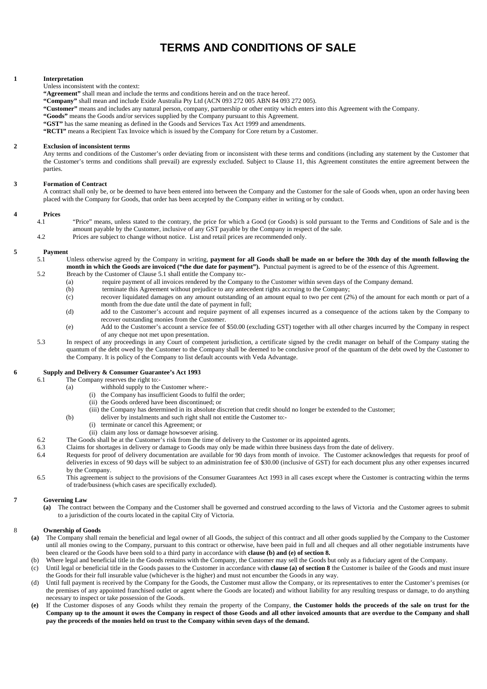# **TERMS AND CONDITIONS OF SALE**

#### **1 Interpretation**

Unless inconsistent with the context:

- **"Agreement"** shall mean and include the terms and conditions herein and on the trace hereof.
- **"Company"** shall mean and include Exide Australia Pty Ltd (ACN 093 272 005 ABN 84 093 272 005).
- **"Customer"** means and includes any natural person, company, partnership or other entity which enters into this Agreement with the Company.
	- **"Goods"** means the Goods and/or services supplied by the Company pursuant to this Agreement.
	- **"GST"** has the same meaning as defined in the Goods and Services Tax Act 1999 and amendments.

**"RCTI"** means a Recipient Tax Invoice which is issued by the Company for Core return by a Customer.

#### **2 Exclusion of inconsistent terms**

Any terms and conditions of the Customer's order deviating from or inconsistent with these terms and conditions (including any statement by the Customer that the Customer's terms and conditions shall prevail) are expressly excluded. Subject to Clause 11, this Agreement constitutes the entire agreement between the parties.

#### **3 Formation of Contract**

A contract shall only be, or be deemed to have been entered into between the Company and the Customer for the sale of Goods when, upon an order having been placed with the Company for Goods, that order has been accepted by the Company either in writing or by conduct.

#### **4 Prices**

- 4.1 "Price" means, unless stated to the contrary, the price for which a Good (or Goods) is sold pursuant to the Terms and Conditions of Sale and is the amount payable by the Customer, inclusive of any GST payable by the Company in respect of the sale.
- 4.2 Prices are subject to change without notice. List and retail prices are recommended only.

# **5 Payment**

5.1 Unless otherwise agreed by the Company in writing, **payment for all Goods shall be made on or before the 30th day of the month following the month in which the Goods are invoiced ("the due date for payment").** Punctual payment is agreed to be of the essence of this Agreement.

- 5.2 Breach by the Customer of Clause 5.1 shall entitle the Company to:-
	- (a) require payment of all invoices rendered by the Company to the Customer within seven days of the Company demand.<br>(b) terminate this Agreement without prejudice to any antecedent rights accruing to the Company:
	- terminate this Agreement without prejudice to any antecedent rights accruing to the Company;
	- $\overrightarrow{c}$  recover liquidated damages on any amount outstanding of an amount equal to two per cent (2%) of the amount for each month or part of a month from the due date until the date of payment in full;
	- (d) add to the Customer's account and require payment of all expenses incurred as a consequence of the actions taken by the Company to recover outstanding monies from the Customer.
	- (e) Add to the Customer's account a service fee of \$50.00 (excluding GST) together with all other charges incurred by the Company in respect of any cheque not met upon presentation.
- 5.3 In respect of any proceedings in any Court of competent jurisdiction, a certificate signed by the credit manager on behalf of the Company stating the quantum of the debt owed by the Customer to the Company shall be deemed to be conclusive proof of the quantum of the debt owed by the Customer to the Company. It is policy of the Company to list default accounts with Veda Advantage.

# **6 Supply and Delivery & Consumer Guarantee's Act 1993**

The Company reserves the right to:-

- (a) withhold supply to the Customer where:
	- the Company has insufficient Goods to fulfil the order;
	- (ii) the Goods ordered have been discontinued; or
	- (iii) the Company has determined in its absolute discretion that credit should no longer be extended to the Customer;
- (b) deliver by instalments and such right shall not entitle the Customer to:-
	- (i) terminate or cancel this Agreement; or
	- (ii) claim any loss or damage howsoever arising.
- 6.2 The Goods shall be at the Customer's risk from the time of delivery to the Customer or its appointed agents.
- 6.3 Claims for shortages in delivery or damage to Goods may only be made within three business days from the date of delivery.
- 6.4 Requests for proof of delivery documentation are available for 90 days from month of invoice. The Customer acknowledges that requests for proof of deliveries in excess of 90 days will be subject to an administration fee of \$30.00 (inclusive of GST) for each document plus any other expenses incurred by the Company.
- 6.5 This agreement is subject to the provisions of the Consumer Guarantees Act 1993 in all cases except where the Customer is contracting within the terms of trade/business (which cases are specifically excluded).

#### **7 Governing Law**

**(a)** The contract between the Company and the Customer shall be governed and construed according to the laws of Victoria and the Customer agrees to submit to a jurisdiction of the courts located in the capital City of Victoria.

#### 8 **Ownership of Goods**

- **(a)** The Company shall remain the beneficial and legal owner of all Goods, the subject of this contract and all other goods supplied by the Company to the Customer until all monies owing to the Company, pursuant to this contract or otherwise, have been paid in full and all cheques and all other negotiable instruments have been cleared or the Goods have been sold to a third party in accordance with **clause (b) and (e) of section 8.**
- (b) Where legal and beneficial title in the Goods remains with the Company, the Customer may sell the Goods but only as a fiduciary agent of the Company.
- (c) Until legal or beneficial title in the Goods passes to the Customer in accordance with **clause (a) of section 8** the Customer is bailee of the Goods and must insure the Goods for their full insurable value (whichever is the higher) and must not encumber the Goods in any way.
- Until full payment is received by the Company for the Goods, the Customer must allow the Company, or its representatives to enter the Customer's premises (or the premises of any appointed franchised outlet or agent where the Goods are located) and without liability for any resulting trespass or damage, to do anything necessary to inspect or take possession of the Goods.
- **(e)** If the Customer disposes of any Goods whilst they remain the property of the Company, **the Customer holds the proceeds of the sale on trust for the Company up to the amount it owes the Company in respect of those Goods and all other invoiced amounts that are overdue to the Company and shall pay the proceeds of the monies held on trust to the Company within seven days of the demand.**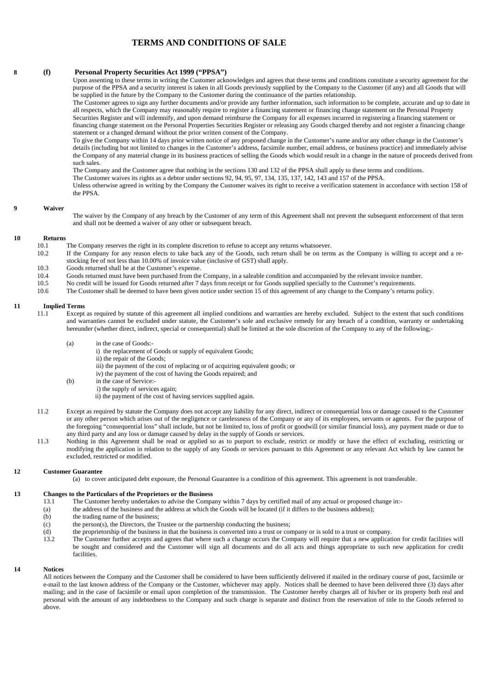### **TERMS AND CONDITIONS OF SALE**

#### **8 (f) Personal Property Securities Act 1999 ("PPSA")**

Upon assenting to these terms in writing the Customer acknowledges and agrees that these terms and conditions constitute a security agreement for the purpose of the PPSA and a security interest is taken in all Goods previously supplied by the Company to the Customer (if any) and all Goods that will be supplied in the future by the Company to the Customer during the continuance of the parties relationship.

The Customer agrees to sign any further documents and/or provide any further information, such information to be complete, accurate and up to date in all respects, which the Company may reasonably require to register a financing statement or financing change statement on the Personal Property Securities Register and will indemnify, and upon demand reimburse the Company for all expenses incurred in registering a financing statement or financing change statement on the Personal Properties Securities Register or releasing any Goods charged thereby and not register a financing change statement or a changed demand without the prior written consent of the Company.

To give the Company within 14 days prior written notice of any proposed change in the Customer's name and/or any other change in the Customer's details (including but not limited to changes in the Customer's address, facsimile number, email address, or business practice) and immediately advise the Company of any material change in its business practices of selling the Goods which would result in a change in the nature of proceeds derived from such sales.

The Company and the Customer agree that nothing in the sections 130 and 132 of the PPSA shall apply to these terms and conditions.

The Customer waives its rights as a debtor under sections 92, 94, 95, 97, 134, 135, 137, 142, 143 and 157 of the PPSA.

Unless otherwise agreed in writing by the Company the Customer waives its right to receive a verification statement in accordance with section 158 of the PPSA.

#### **9 Waiver**

The waiver by the Company of any breach by the Customer of any term of this Agreement shall not prevent the subsequent enforcement of that term and shall not be deemed a waiver of any other or subsequent breach.

## **10 Returns**

- 10.1 The Company reserves the right in its complete discretion to refuse to accept any returns whatsoever.<br>10.2 If the Company for any reason elects to take back any of the Goods, such return shall be on term
- If the Company for any reason elects to take back any of the Goods, such return shall be on terms as the Company is willing to accept and a restocking fee of not less than 10.00% of invoice value (inclusive of GST) shall apply.
- 10.3 Goods returned shall be at the Customer's expense.<br>10.4 Goods returned must have been nurchased from the

10.4 Goods returned must have been purchased from the Company, in a saleable condition and accompanied by the relevant invoice number.<br>10.5 No credit will be issued for Goods returned after 7 days from receipt or for Goods

- 10.5 No credit will be issued for Goods returned after 7 days from receipt or for Goods supplied specially to the Customer's requirements.
- 10.6 The Customer shall be deemed to have been given notice under section 15 of this agreement of any change to the Company's returns policy.

#### **11 Implied Terms**

- 11.1 Except as required by statute of this agreement all implied conditions and warranties are hereby excluded. Subject to the extent that such conditions and warranties cannot be excluded under statute, the Customer's sole and exclusive remedy for any breach of a condition, warranty or undertaking hereunder (whether direct, indirect, special or consequential) shall be limited at the sole discretion of the Company to any of the following;-
	- (a) in the case of Goods:
		- i) the replacement of Goods or supply of equivalent Goods;
		- ii) the repair of the Goods;
		- iii) the payment of the cost of replacing or of acquiring equivalent goods; or
		- iv) the payment of the cost of having the Goods repaired; and
	- (b) in the case of Service:
		- i) the supply of services again;

ii) the payment of the cost of having services supplied again.

- 11.2 Except as required by statute the Company does not accept any liability for any direct, indirect or consequential loss or damage caused to the Customer or any other person which arises out of the negligence or carelessness of the Company or any of its employees, servants or agents. For the purpose of the foregoing "consequential loss" shall include, but not be limited to, loss of profit or goodwill (or similar financial loss), any payment made or due to any third party and any loss or damage caused by delay in the supply of Goods or services.
- 11.3 Nothing in this Agreement shall be read or applied so as to purport to exclude, restrict or modify or have the effect of excluding, restricting or modifying the application in relation to the supply of any Goods or services pursuant to this Agreement or any relevant Act which by law cannot be excluded, restricted or modified.

#### **12 Customer Guarantee**

(a) to cover anticipated debt exposure, the Personal Guarantee is a condition of this agreement. This agreement is not transferable.

#### **13 Changes to the Particulars of the Proprietors or the Business**

- 13.1 The Customer hereby undertakes to advise the Company within 7 days by certified mail of any actual or proposed change in:-
- (a) the address of the business and the address at which the Goods will be located (if it differs to the business address);
- (b) the trading name of the business;
- $(c)$  the person(s), the Directors, the Trustee or the partnership conducting the business;
- (d) the proprietorship of the business in that the business is converted into a trust or company or is sold to a trust or company.
- 13.2 The Customer further accepts and agrees that where such a change occurs the Company will require that a new application for credit facilities will be sought and considered and the Customer will sign all documents and do all acts and things appropriate to such new application for credit **facilities**

#### **14 Notices**

All notices between the Company and the Customer shall be considered to have been sufficiently delivered if mailed in the ordinary course of post, facsimile or e-mail to the last known address of the Company or the Customer, whichever may apply. Notices shall be deemed to have been delivered three (3) days after mailing; and in the case of facsimile or email upon completion of the transmission. The Customer hereby charges all of his/her or its property both real and personal with the amount of any indebtedness to the Company and such charge is separate and distinct from the reservation of title to the Goods referred to above.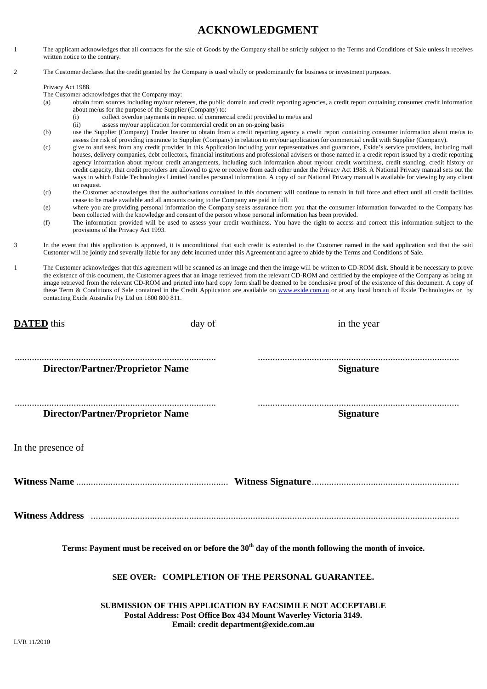## **'KNOWLEDGMENT**

- The applicant acknowledges that all contracts for the sale of Goods by the Company shall be strictly subject to the Terms and Conditions of Sale unless it receives written notice to the contrary.
- 2 The Customer declares that the credit granted by the Company is used wholly or predominantly for business or investment purposes.

Privacy Act 1988.

The Customer acknowledges that the Company may:

- (a) obtain from sources including my/our referees, the public domain and credit reporting agencies, a credit report containing consumer credit information about me/us for the purpose of the Supplier (Company) to:
	- (i) collect overdue payments in respect of commercial credit provided to me/us and
	- (ii) assess my/our application for commercial credit on an on-going basis
- (b) use the Supplier (Company) Trader Insurer to obtain from a credit reporting agency a credit report containing consumer information about me/us to assess the risk of providing insurance to Supplier (Company) in relation to my/our application for commercial credit with Supplier (Company).

(c) give to and seek from any credit provider in this Application including your representatives and guarantors, Exide's service providers, including mail houses, delivery companies, debt collectors, financial institutions and professional advisers or those named in a credit report issued by a credit reporting agency information about my/our credit arrangements, including such information about my/our credit worthiness, credit standing, credit history or credit capacity, that credit providers are allowed to give or receive from each other under the Privacy Act 1988. A National Privacy manual sets out the ways in which Exide Technologies Limited handles personal information. A copy of our National Privacy manual is available for viewing by any client on request.

- (d) the Customer acknowledges that the authorisations contained in this document will continue to remain in full force and effect until all credit facilities cease to be made available and all amounts owing to the Company are paid in full.
- (e) where you are providing personal information the Company seeks assurance from you that the consumer information forwarded to the Company has been collected with the knowledge and consent of the person whose personal information has been provided.
- (f) The information provided will be used to assess your credit worthiness. You have the right to access and correct this information subject to the provisions of the Privacy Act 1993.
- 3 In the event that this application is approved, it is unconditional that such credit is extended to the Customer named in the said application and that the said Customer will be jointly and severally liable for any debt incurred under this Agreement and agree to abide by the Terms and Conditions of Sale.
- 1 The Customer acknowledges that this agreement will be scanned as an image and then the image will be written to CD-ROM disk. Should it be necessary to prove the existence of this document, the Customer agrees that an image retrieved from the relevant CD-ROM and certified by the employee of the Company as being an image retrieved from the relevant CD-ROM and printed into hard copy form shall be deemed to be conclusive proof of the existence of this document. A copy of these Term & Conditions of Sale contained in the Credit Application are available on [www.exide.com.au](http://www.exide.com.au/) or at any local branch of Exide Technologies or by contacting Exide Australia Pty Ltd on 1800 800 811.

| <b>DATED</b> this                                                                                                  | day of                                  | in the year      |  |  |
|--------------------------------------------------------------------------------------------------------------------|-----------------------------------------|------------------|--|--|
|                                                                                                                    |                                         |                  |  |  |
|                                                                                                                    | <b>Director/Partner/Proprietor Name</b> | <b>Signature</b> |  |  |
|                                                                                                                    | <b>Director/Partner/Proprietor Name</b> | <b>Signature</b> |  |  |
| In the presence of                                                                                                 |                                         |                  |  |  |
|                                                                                                                    |                                         |                  |  |  |
|                                                                                                                    |                                         |                  |  |  |
| Terms: Payment must be received on or before the 30 <sup>th</sup> day of the month following the month of invoice. |                                         |                  |  |  |

### **SEE OVER: COMPLETION OF THE PERSONAL GUARANTEE.**

**SUBMISSION OF THIS APPLICATION BY FACSIMILE NOT ACCEPTABLE Postal Address: Post Office Box 434 Mount Waverley Victoria 3149. Email: credit department@exide.com.au**